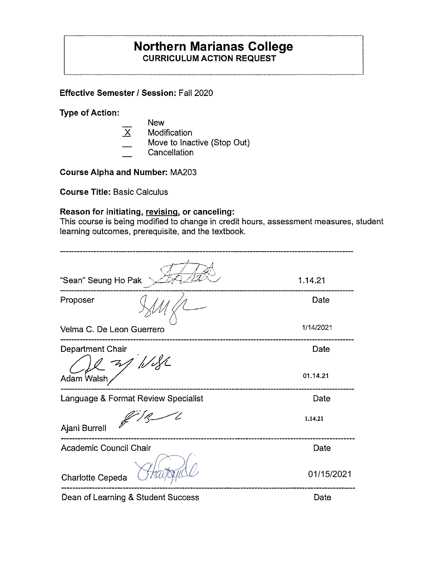## **Northern Marianas College CURRICULUM ACTION REQUEST**

**Effective Semester I Session:** Fall 2020

**Type of Action:** 

- **New**
- $\overline{X}$  Modification
- Move to Inactive (Stop Out)
- **Cancellation**

**Course Alpha and Number:** MA203

**Course Title:** Basic Calculus

## **Reason for initiating, revising, or canceling:**

This course is being modified to change in credit hours, assessment measures, student learning outcomes, prerequisite, and the textbook.

| "Sean" Seung Ho Pak                 | 1.14.21    |
|-------------------------------------|------------|
| Proposer                            | Date       |
| Velma C. De Leon Guerrero           | 1/14/2021  |
| Department Chair<br>as Wife         | Date       |
| Adam Walsh                          | 01.14.21   |
| Language & Format Review Specialist | Date       |
| Ajani Burrell                       | 1.14.21    |
| Academic Council Chair              | Date       |
| <b>Charlotte Cepeda</b>             | 01/15/2021 |
| Dean of Learning & Student Success  | Date       |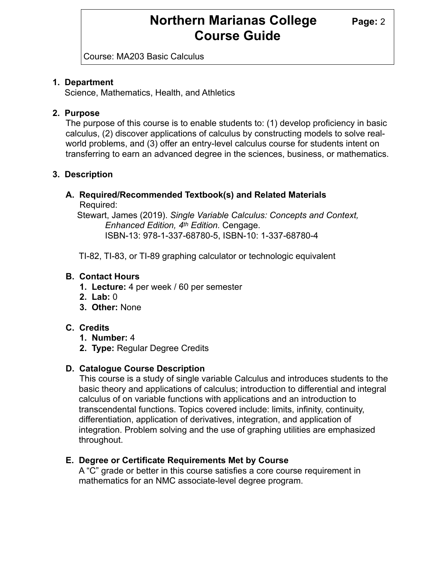Course: MA203 Basic Calculus

### **1. Department**

Science, Mathematics, Health, and Athletics

## **2. Purpose**

The purpose of this course is to enable students to: (1) develop proficiency in basic calculus, (2) discover applications of calculus by constructing models to solve realworld problems, and (3) offer an entry-level calculus course for students intent on transferring to earn an advanced degree in the sciences, business, or mathematics.

## **3. Description**

## **A. Required/Recommended Textbook(s) and Related Materials**

Required:

 Stewart, James (2019). *Single Variable Calculus: Concepts and Context, Enhanced Edition, 4th Edition.* Cengage. ISBN-13: 978-1-337-68780-5, ISBN-10: 1-337-68780-4

TI-82, TI-83, or TI-89 graphing calculator or technologic equivalent

## **B. Contact Hours**

- **1. Lecture:** 4 per week / 60 per semester
- **2. Lab:** 0
- **3. Other:** None

## **C. Credits**

- **1. Number:** 4
- **2. Type:** Regular Degree Credits

## **D. Catalogue Course Description**

 This course is a study of single variable Calculus and introduces students to the basic theory and applications of calculus; introduction to differential and integral calculus of on variable functions with applications and an introduction to transcendental functions. Topics covered include: limits, infinity, continuity, differentiation, application of derivatives, integration, and application of integration. Problem solving and the use of graphing utilities are emphasized throughout.

## **E. Degree or Certificate Requirements Met by Course**

 A "C" grade or better in this course satisfies a core course requirement in mathematics for an NMC associate-level degree program.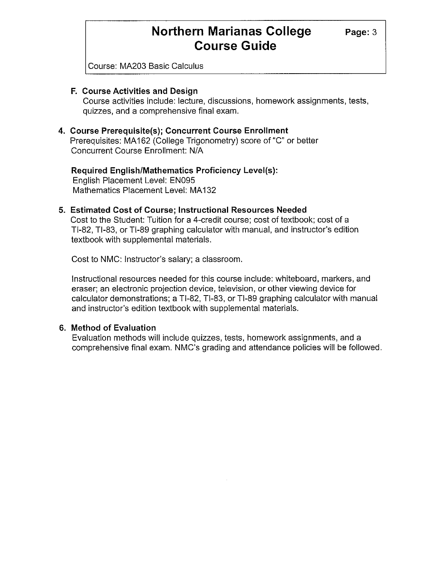**Page:3** 

Course: MA203 Basic Calculus

#### **F. Course Activities and Design**

Course activities include: lecture, discussions, homework assignments, tests, quizzes, and a comprehensive final exam.

#### **4. Course Prerequisite(s); Concurrent Course Enrollment**

Prerequisites: MA 162 (College Trigonometry) score of "C" or better Concurrent Course Enrollment: N/A

**Required English/Mathematics Proficiency Level(s):**  English Placement Level: EN095 Mathematics Placement Level: MA132

#### **5. Estimated Cost of Course; Instructional Resources Needed**

Cost to the Student: Tuition for a 4-credit course; cost of textbook; cost of a Tl-82, Tl-83, or Tl-89 graphing calculator with manual, and instructor's edition textbook with supplemental materials.

Cost to NMC: Instructor's salary; a classroom.

Instructional resources needed for this course include: whiteboard, markers, and eraser; an electronic projection device, television, or other viewing device for calculator demonstrations; a Tl-82, Tl-83, or Tl-89 graphing calculator with manual and instructor's edition textbook with supplemental materials.

#### **6. Method of Evaluation**

Evaluation methods will include quizzes, tests, homework assignments, and a comprehensive final exam. NMC's grading and attendance policies will be followed.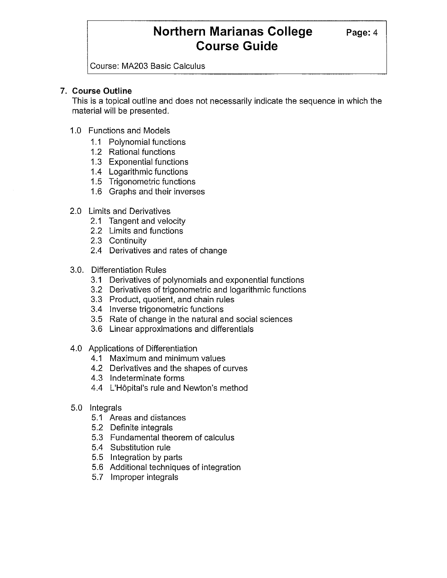**Page:4** 

Course: MA203 Basic Calculus

#### **7. Course Outline**

This is a topical outline and does not necessarily indicate the sequence in which the material will be presented.

- 1.0 Functions and Models
	- 1.1 Polynomial functions
	- 1.2 Rational functions
	- 1.3 Exponential functions
	- 1.4 Logarithmic functions
	- 1.5 Trigonometric functions
	- 1.6 Graphs and their inverses
- 2.0 Limits and Derivatives
	- 2.1 Tangent and velocity
	- 2.2 Limits and functions
	- 2.3 Continuity
	- 2.4 Derivatives and rates of change
- 3.0. Differentiation Rules
	- 3.1 Derivatives of polynomials and exponential functions
	- 3.2 Derivatives of trigonometric and logarithmic functions
	- 3.3 Product, quotient, and chain rules
	- 3.4 Inverse trigonometric functions
	- 3.5 Rate of change in the natural and social sciences
	- 3.6 Linear approximations and differentials
- 4.0 Applications of Differentiation
	- 4.1 Maximum and minimum values
	- 4.2 Derivatives and the shapes of curves
	- 4.3 Indeterminate forms
	- 4.4 L'H6pital's rule and Newton's method
- 5.0 Integrals
	- 5.1 Areas and distances
	- 5.2 Definite integrals
	- 5.3 Fundamental theorem of calculus
	- 5.4 Substitution rule
	- 5.5 Integration by parts
	- 5.6 Additional techniques of integration
	- 5.7 Improper integrals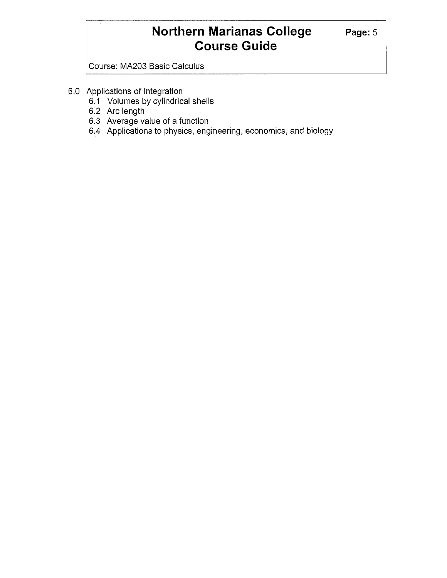**Page:5** 

Course: MA203 Basic Calculus

- 6.0 Applications of Integration
	- 6.1 Volumes by cylindrical shells
	- 6.2 Arc length
	- 6.3 Average value of a function
	- 6.4 Applications to physics, engineering, economics, and biology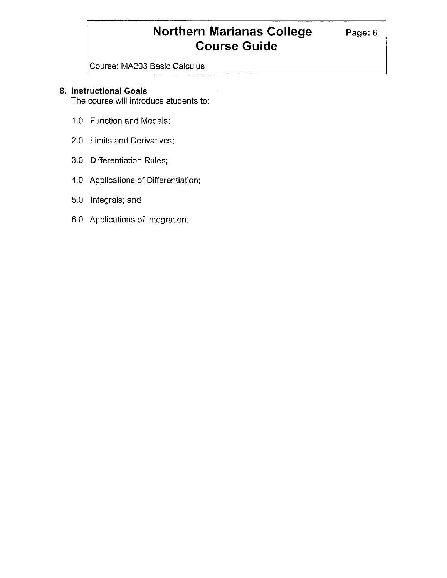**Page:6** 

Course: MA203 Basic Calculus

## **8. Instructional Goals**

The course will introduce students to:

- 1.0 Function and Models;
- 2.0 Limits and Derivatives;
- 3.0 Differentiation Rules;
- 4.0 Applications of Differentiation;
- 5.0 Integrals; and
- 6.0 Applications of Integration.